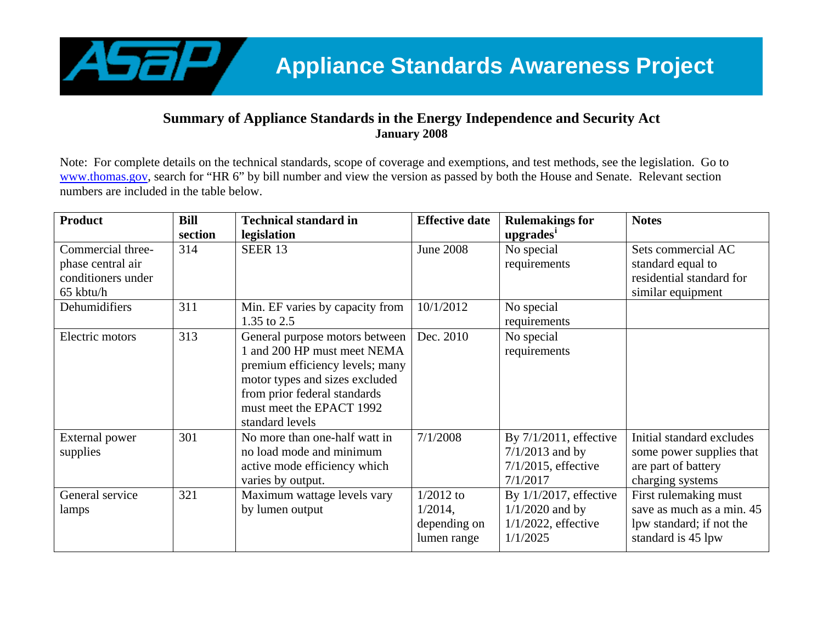

## **Summary of Appliance Standards in the Energy Independence and Security Act January 2008**

Note: For complete details on the technical standards, scope of coverage and exemptions, and test methods, see the legislation. Go to [www.thomas.gov](http://www.thomas.gov/), search for "HR 6" by bill number and view the version as passed by both the House and Senate. Relevant section numbers are included in the table below.

| <b>Product</b>     | <b>Bill</b> | <b>Technical standard in</b>    | <b>Effective date</b> | <b>Rulemakings for</b>    | <b>Notes</b>              |
|--------------------|-------------|---------------------------------|-----------------------|---------------------------|---------------------------|
|                    | section     | legislation                     |                       | upgrades <sup>1</sup>     |                           |
| Commercial three-  | 314         | <b>SEER 13</b>                  | <b>June 2008</b>      | No special                | Sets commercial AC        |
| phase central air  |             |                                 |                       | requirements              | standard equal to         |
| conditioners under |             |                                 |                       |                           | residential standard for  |
| 65 kbtu/h          |             |                                 |                       |                           | similar equipment         |
| Dehumidifiers      | 311         | Min. EF varies by capacity from | 10/1/2012             | No special                |                           |
|                    |             | 1.35 to 2.5                     |                       | requirements              |                           |
| Electric motors    | 313         | General purpose motors between  | Dec. 2010             | No special                |                           |
|                    |             | 1 and 200 HP must meet NEMA     |                       | requirements              |                           |
|                    |             | premium efficiency levels; many |                       |                           |                           |
|                    |             | motor types and sizes excluded  |                       |                           |                           |
|                    |             | from prior federal standards    |                       |                           |                           |
|                    |             | must meet the EPACT 1992        |                       |                           |                           |
|                    |             | standard levels                 |                       |                           |                           |
| External power     | 301         | No more than one-half watt in   | 7/1/2008              | By 7/1/2011, effective    | Initial standard excludes |
| supplies           |             | no load mode and minimum        |                       | $7/1/2013$ and by         | some power supplies that  |
|                    |             | active mode efficiency which    |                       | $7/1/2015$ , effective    | are part of battery       |
|                    |             | varies by output.               |                       | 7/1/2017                  | charging systems          |
| General service    | 321         | Maximum wattage levels vary     | $1/2012$ to           | By $1/1/2017$ , effective | First rulemaking must     |
| lamps              |             | by lumen output                 | $1/2014$ ,            | $1/1/2020$ and by         | save as much as a min. 45 |
|                    |             |                                 | depending on          | $1/1/2022$ , effective    | lpw standard; if not the  |
|                    |             |                                 | lumen range           | 1/1/2025                  | standard is 45 lpw        |
|                    |             |                                 |                       |                           |                           |